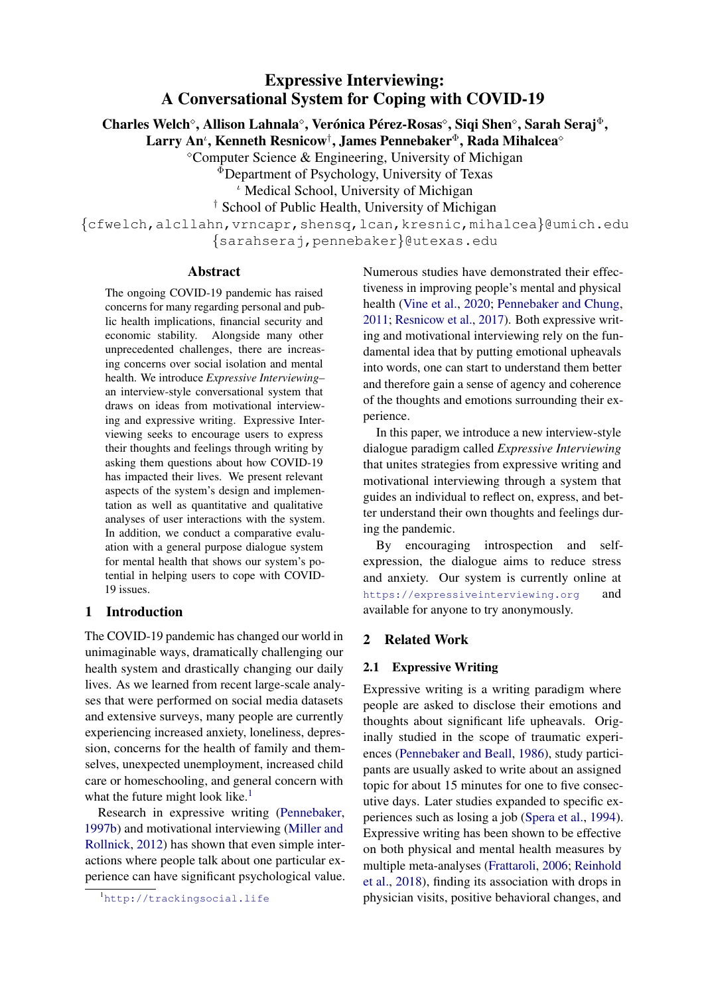# Expressive Interviewing: A Conversational System for Coping with COVID-19

Charles Welch<sup>o</sup>, Allison Lahnala<sup>o</sup>, Verónica Pérez-Rosas<sup>o</sup>, Siqi Shen<sup>o</sup>, Sarah Seraj<sup>®</sup>,

Larry An $^{\iota}$ , Kenneth Resnicow $^{\dagger}$ , James Pennebaker $^{\Phi}$ , Rada Mihalcea $^{\diamond}$ 

Computer Science & Engineering, University of Michigan

<sup>Φ</sup>Department of Psychology, University of Texas

<sup>*ι*</sup> Medical School, University of Michigan

† School of Public Health, University of Michigan

{cfwelch,alcllahn,vrncapr,shensq,lcan,kresnic,mihalcea}@umich.edu {sarahseraj,pennebaker}@utexas.edu

#### Abstract

The ongoing COVID-19 pandemic has raised concerns for many regarding personal and public health implications, financial security and economic stability. Alongside many other unprecedented challenges, there are increasing concerns over social isolation and mental health. We introduce *Expressive Interviewing*– an interview-style conversational system that draws on ideas from motivational interviewing and expressive writing. Expressive Interviewing seeks to encourage users to express their thoughts and feelings through writing by asking them questions about how COVID-19 has impacted their lives. We present relevant aspects of the system's design and implementation as well as quantitative and qualitative analyses of user interactions with the system. In addition, we conduct a comparative evaluation with a general purpose dialogue system for mental health that shows our system's potential in helping users to cope with COVID-19 issues.

#### 1 Introduction

The COVID-19 pandemic has changed our world in unimaginable ways, dramatically challenging our health system and drastically changing our daily lives. As we learned from recent large-scale analyses that were performed on social media datasets and extensive surveys, many people are currently experiencing increased anxiety, loneliness, depression, concerns for the health of family and themselves, unexpected unemployment, increased child care or homeschooling, and general concern with what the future might look like. $<sup>1</sup>$  $<sup>1</sup>$  $<sup>1</sup>$ </sup>

Research in expressive writing [\(Pennebaker,](#page-9-0) [1997b\)](#page-9-0) and motivational interviewing [\(Miller and](#page-9-1) [Rollnick,](#page-9-1) [2012\)](#page-9-1) has shown that even simple interactions where people talk about one particular experience can have significant psychological value.

<span id="page-0-0"></span><sup>1</sup><http://trackingsocial.life>

Numerous studies have demonstrated their effectiveness in improving people's mental and physical health [\(Vine et al.,](#page-10-0) [2020;](#page-10-0) [Pennebaker and Chung,](#page-9-2) [2011;](#page-9-2) [Resnicow et al.,](#page-10-1) [2017\)](#page-10-1). Both expressive writing and motivational interviewing rely on the fundamental idea that by putting emotional upheavals into words, one can start to understand them better and therefore gain a sense of agency and coherence of the thoughts and emotions surrounding their experience.

In this paper, we introduce a new interview-style dialogue paradigm called *Expressive Interviewing* that unites strategies from expressive writing and motivational interviewing through a system that guides an individual to reflect on, express, and better understand their own thoughts and feelings during the pandemic.

By encouraging introspection and selfexpression, the dialogue aims to reduce stress and anxiety. Our system is currently online at <https://expressiveinterviewing.org> and available for anyone to try anonymously.

#### 2 Related Work

#### 2.1 Expressive Writing

Expressive writing is a writing paradigm where people are asked to disclose their emotions and thoughts about significant life upheavals. Originally studied in the scope of traumatic experiences [\(Pennebaker and Beall,](#page-9-3) [1986\)](#page-9-3), study participants are usually asked to write about an assigned topic for about 15 minutes for one to five consecutive days. Later studies expanded to specific experiences such as losing a job [\(Spera et al.,](#page-10-2) [1994\)](#page-10-2). Expressive writing has been shown to be effective on both physical and mental health measures by multiple meta-analyses [\(Frattaroli,](#page-9-4) [2006;](#page-9-4) [Reinhold](#page-10-3) [et al.,](#page-10-3) [2018\)](#page-10-3), finding its association with drops in physician visits, positive behavioral changes, and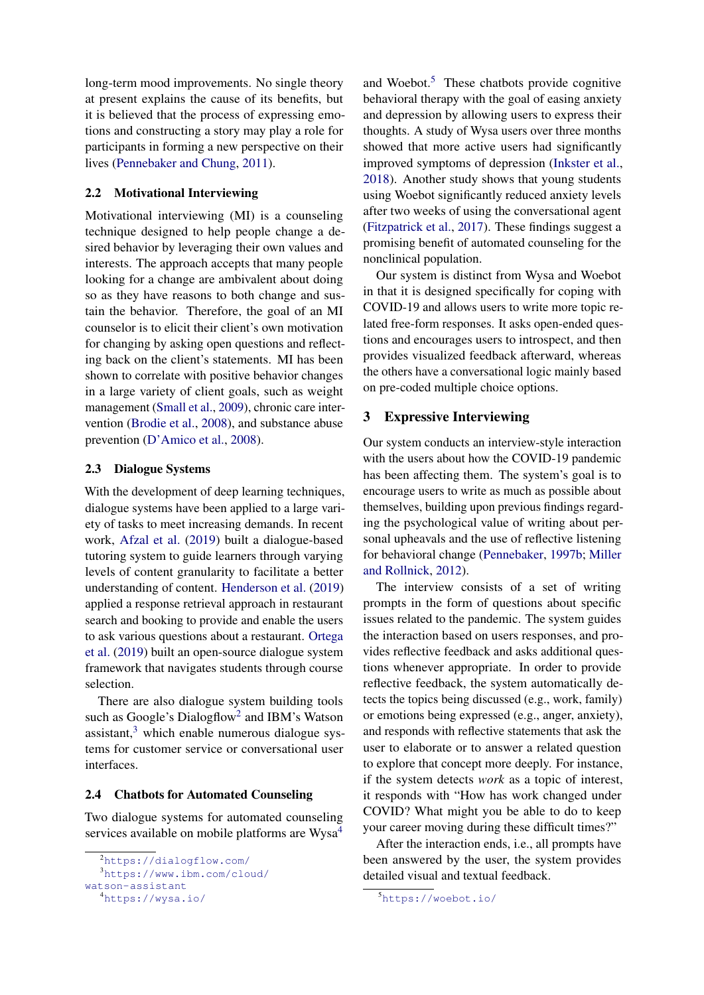long-term mood improvements. No single theory at present explains the cause of its benefits, but it is believed that the process of expressing emotions and constructing a story may play a role for participants in forming a new perspective on their lives [\(Pennebaker and Chung,](#page-9-2) [2011\)](#page-9-2).

## 2.2 Motivational Interviewing

Motivational interviewing (MI) is a counseling technique designed to help people change a desired behavior by leveraging their own values and interests. The approach accepts that many people looking for a change are ambivalent about doing so as they have reasons to both change and sustain the behavior. Therefore, the goal of an MI counselor is to elicit their client's own motivation for changing by asking open questions and reflecting back on the client's statements. MI has been shown to correlate with positive behavior changes in a large variety of client goals, such as weight management [\(Small et al.,](#page-10-4) [2009\)](#page-10-4), chronic care intervention [\(Brodie et al.,](#page-9-5) [2008\)](#page-9-5), and substance abuse prevention [\(D'Amico et al.,](#page-9-6) [2008\)](#page-9-6).

#### 2.3 Dialogue Systems

With the development of deep learning techniques, dialogue systems have been applied to a large variety of tasks to meet increasing demands. In recent work, [Afzal et al.](#page-9-7) [\(2019\)](#page-9-7) built a dialogue-based tutoring system to guide learners through varying levels of content granularity to facilitate a better understanding of content. [Henderson et al.](#page-9-8) [\(2019\)](#page-9-8) applied a response retrieval approach in restaurant search and booking to provide and enable the users to ask various questions about a restaurant. [Ortega](#page-9-9) [et al.](#page-9-9) [\(2019\)](#page-9-9) built an open-source dialogue system framework that navigates students through course selection.

There are also dialogue system building tools such as Google's Dialogflow<sup>[2](#page-1-0)</sup> and IBM's Watson assistant, $3$  which enable numerous dialogue systems for customer service or conversational user interfaces.

#### 2.4 Chatbots for Automated Counseling

Two dialogue systems for automated counseling services available on mobile platforms are Wysa<sup>[4](#page-1-2)</sup>

and Woebot.<sup>[5](#page-1-3)</sup> These chatbots provide cognitive behavioral therapy with the goal of easing anxiety and depression by allowing users to express their thoughts. A study of Wysa users over three months showed that more active users had significantly improved symptoms of depression [\(Inkster et al.,](#page-9-10) [2018\)](#page-9-10). Another study shows that young students using Woebot significantly reduced anxiety levels after two weeks of using the conversational agent [\(Fitzpatrick et al.,](#page-9-11) [2017\)](#page-9-11). These findings suggest a promising benefit of automated counseling for the nonclinical population.

Our system is distinct from Wysa and Woebot in that it is designed specifically for coping with COVID-19 and allows users to write more topic related free-form responses. It asks open-ended questions and encourages users to introspect, and then provides visualized feedback afterward, whereas the others have a conversational logic mainly based on pre-coded multiple choice options.

## 3 Expressive Interviewing

Our system conducts an interview-style interaction with the users about how the COVID-19 pandemic has been affecting them. The system's goal is to encourage users to write as much as possible about themselves, building upon previous findings regarding the psychological value of writing about personal upheavals and the use of reflective listening for behavioral change [\(Pennebaker,](#page-9-0) [1997b;](#page-9-0) [Miller](#page-9-1) [and Rollnick,](#page-9-1) [2012\)](#page-9-1).

The interview consists of a set of writing prompts in the form of questions about specific issues related to the pandemic. The system guides the interaction based on users responses, and provides reflective feedback and asks additional questions whenever appropriate. In order to provide reflective feedback, the system automatically detects the topics being discussed (e.g., work, family) or emotions being expressed (e.g., anger, anxiety), and responds with reflective statements that ask the user to elaborate or to answer a related question to explore that concept more deeply. For instance, if the system detects *work* as a topic of interest, it responds with "How has work changed under COVID? What might you be able to do to keep your career moving during these difficult times?"

After the interaction ends, i.e., all prompts have been answered by the user, the system provides detailed visual and textual feedback.

<span id="page-1-0"></span><sup>2</sup><https://dialogflow.com/>

<span id="page-1-1"></span><sup>3</sup>[https://www.ibm.com/cloud/](https://www.ibm.com/cloud/watson-assistant)

[watson-assistant](https://www.ibm.com/cloud/watson-assistant)

<span id="page-1-2"></span><sup>4</sup><https://wysa.io/>

<span id="page-1-3"></span><sup>5</sup><https://woebot.io/>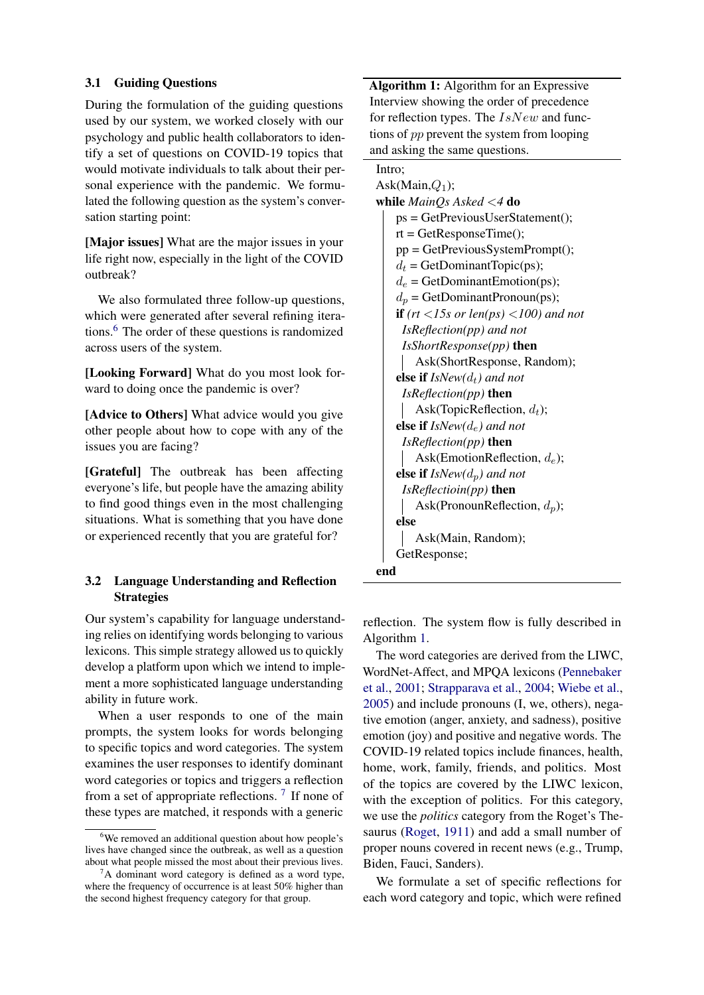#### 3.1 Guiding Questions

During the formulation of the guiding questions used by our system, we worked closely with our psychology and public health collaborators to identify a set of questions on COVID-19 topics that would motivate individuals to talk about their personal experience with the pandemic. We formulated the following question as the system's conversation starting point:

[Major issues] What are the major issues in your life right now, especially in the light of the COVID outbreak?

We also formulated three follow-up questions, which were generated after several refining iterations.[6](#page-2-0) The order of these questions is randomized across users of the system.

[Looking Forward] What do you most look forward to doing once the pandemic is over?

[Advice to Others] What advice would you give other people about how to cope with any of the issues you are facing?

[Grateful] The outbreak has been affecting everyone's life, but people have the amazing ability to find good things even in the most challenging situations. What is something that you have done or experienced recently that you are grateful for?

## 3.2 Language Understanding and Reflection **Strategies**

Our system's capability for language understanding relies on identifying words belonging to various lexicons. This simple strategy allowed us to quickly develop a platform upon which we intend to implement a more sophisticated language understanding ability in future work.

When a user responds to one of the main prompts, the system looks for words belonging to specific topics and word categories. The system examines the user responses to identify dominant word categories or topics and triggers a reflection from a set of appropriate reflections.<sup>[7](#page-2-1)</sup> If none of these types are matched, it responds with a generic Algorithm 1: Algorithm for an Expressive Interview showing the order of precedence for reflection types. The  $IsNew$  and functions of pp prevent the system from looping and asking the same questions.

## Intro;

Ask(Main, $Q_1$ ); while *MainQs Asked* <*4* do ps = GetPreviousUserStatement();  $rt = GetResponseTime$ ; pp = GetPreviousSystemPrompt();  $d_t$  = GetDominantTopic(ps);  $d_e$  = GetDominantEmotion(ps);  $d_p$  = GetDominantPronoun(ps); if *(rt* <*15s or len(ps)* <*100) and not IsReflection(pp) and not IsShortResponse(pp)* then Ask(ShortResponse, Random); else if  $IsNew(d_t)$  and not *IsReflection(pp)* then Ask(TopicReflection,  $d_t$ ); else if *IsNew(*de*) and not IsReflection(pp)* then Ask(EmotionReflection,  $d_e$ ); else if  $IsNew(d_p)$  and not *IsReflectioin(pp)* then Ask(PronounReflection,  $d_p$ ); else Ask(Main, Random); GetResponse; end

<span id="page-2-2"></span>reflection. The system flow is fully described in Algorithm [1.](#page-2-2)

The word categories are derived from the LIWC, WordNet-Affect, and MPQA lexicons [\(Pennebaker](#page-9-12) [et al.,](#page-9-12) [2001;](#page-9-12) [Strapparava et al.,](#page-10-5) [2004;](#page-10-5) [Wiebe et al.,](#page-10-6) [2005\)](#page-10-6) and include pronouns (I, we, others), negative emotion (anger, anxiety, and sadness), positive emotion (joy) and positive and negative words. The COVID-19 related topics include finances, health, home, work, family, friends, and politics. Most of the topics are covered by the LIWC lexicon, with the exception of politics. For this category, we use the *politics* category from the Roget's Thesaurus [\(Roget,](#page-10-7) [1911\)](#page-10-7) and add a small number of proper nouns covered in recent news (e.g., Trump, Biden, Fauci, Sanders).

We formulate a set of specific reflections for each word category and topic, which were refined

<span id="page-2-0"></span><sup>6</sup>We removed an additional question about how people's lives have changed since the outbreak, as well as a question about what people missed the most about their previous lives.

<span id="page-2-1"></span> ${}^{7}$ A dominant word category is defined as a word type, where the frequency of occurrence is at least 50% higher than the second highest frequency category for that group.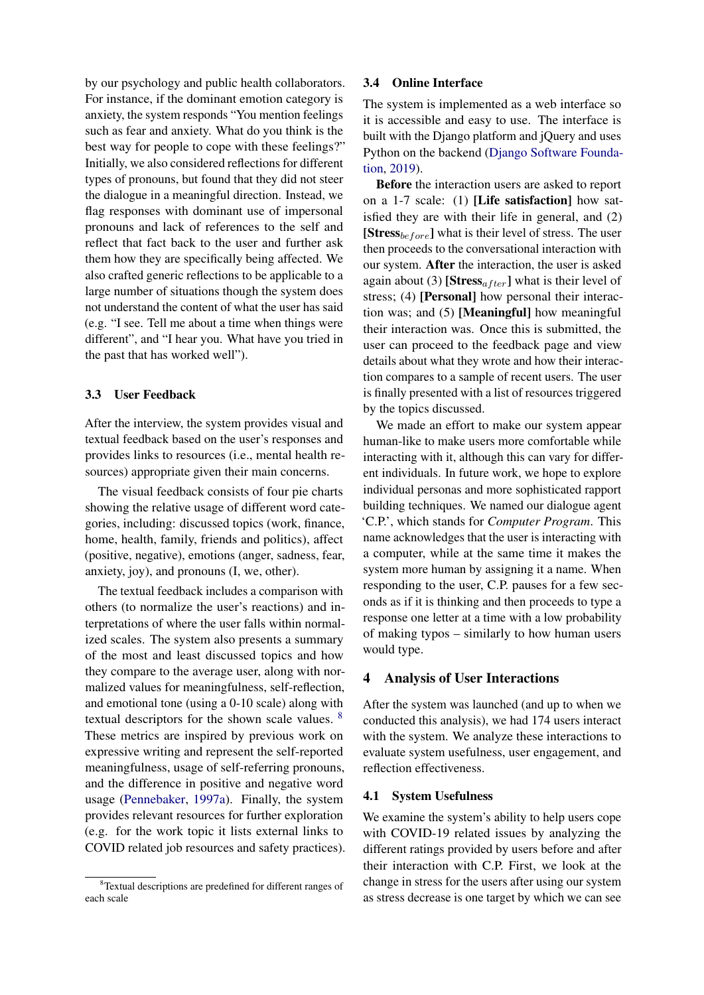by our psychology and public health collaborators. For instance, if the dominant emotion category is anxiety, the system responds "You mention feelings such as fear and anxiety. What do you think is the best way for people to cope with these feelings?" Initially, we also considered reflections for different types of pronouns, but found that they did not steer the dialogue in a meaningful direction. Instead, we flag responses with dominant use of impersonal pronouns and lack of references to the self and reflect that fact back to the user and further ask them how they are specifically being affected. We also crafted generic reflections to be applicable to a large number of situations though the system does not understand the content of what the user has said (e.g. "I see. Tell me about a time when things were different", and "I hear you. What have you tried in the past that has worked well").

#### 3.3 User Feedback

After the interview, the system provides visual and textual feedback based on the user's responses and provides links to resources (i.e., mental health resources) appropriate given their main concerns.

The visual feedback consists of four pie charts showing the relative usage of different word categories, including: discussed topics (work, finance, home, health, family, friends and politics), affect (positive, negative), emotions (anger, sadness, fear, anxiety, joy), and pronouns (I, we, other).

The textual feedback includes a comparison with others (to normalize the user's reactions) and interpretations of where the user falls within normalized scales. The system also presents a summary of the most and least discussed topics and how they compare to the average user, along with normalized values for meaningfulness, self-reflection, and emotional tone (using a 0-10 scale) along with textual descriptors for the shown scale values. [8](#page-3-0) These metrics are inspired by previous work on expressive writing and represent the self-reported meaningfulness, usage of self-referring pronouns, and the difference in positive and negative word usage [\(Pennebaker,](#page-9-13) [1997a\)](#page-9-13). Finally, the system provides relevant resources for further exploration (e.g. for the work topic it lists external links to COVID related job resources and safety practices).

#### 3.4 Online Interface

The system is implemented as a web interface so it is accessible and easy to use. The interface is built with the Django platform and jQuery and uses Python on the backend [\(Django Software Founda](#page-9-14)[tion,](#page-9-14) [2019\)](#page-9-14).

Before the interaction users are asked to report on a 1-7 scale: (1) [Life satisfaction] how satisfied they are with their life in general, and (2) [Stress<sub>before</sub>] what is their level of stress. The user then proceeds to the conversational interaction with our system. After the interaction, the user is asked again about (3) [Stress<sub>after</sub>] what is their level of stress; (4) [Personal] how personal their interaction was; and (5) [Meaningful] how meaningful their interaction was. Once this is submitted, the user can proceed to the feedback page and view details about what they wrote and how their interaction compares to a sample of recent users. The user is finally presented with a list of resources triggered by the topics discussed.

We made an effort to make our system appear human-like to make users more comfortable while interacting with it, although this can vary for different individuals. In future work, we hope to explore individual personas and more sophisticated rapport building techniques. We named our dialogue agent 'C.P.', which stands for *Computer Program*. This name acknowledges that the user is interacting with a computer, while at the same time it makes the system more human by assigning it a name. When responding to the user, C.P. pauses for a few seconds as if it is thinking and then proceeds to type a response one letter at a time with a low probability of making typos – similarly to how human users would type.

#### 4 Analysis of User Interactions

After the system was launched (and up to when we conducted this analysis), we had 174 users interact with the system. We analyze these interactions to evaluate system usefulness, user engagement, and reflection effectiveness.

## 4.1 System Usefulness

We examine the system's ability to help users cope with COVID-19 related issues by analyzing the different ratings provided by users before and after their interaction with C.P. First, we look at the change in stress for the users after using our system as stress decrease is one target by which we can see

<span id="page-3-0"></span><sup>8</sup>Textual descriptions are predefined for different ranges of each scale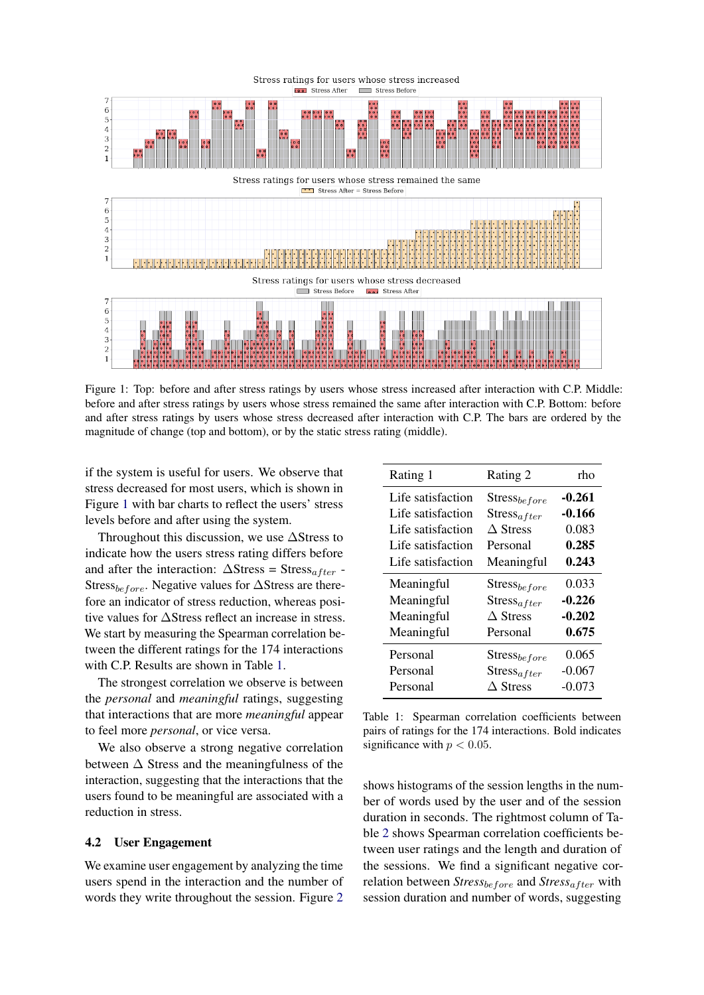<span id="page-4-0"></span>

Figure 1: Top: before and after stress ratings by users whose stress increased after interaction with C.P. Middle: before and after stress ratings by users whose stress remained the same after interaction with C.P. Bottom: before and after stress ratings by users whose stress decreased after interaction with C.P. The bars are ordered by the magnitude of change (top and bottom), or by the static stress rating (middle).

if the system is useful for users. We observe that stress decreased for most users, which is shown in Figure [1](#page-4-0) with bar charts to reflect the users' stress levels before and after using the system.

Throughout this discussion, we use ∆Stress to indicate how the users stress rating differs before and after the interaction:  $\Delta \text{Stress} = \text{Stress}_{after}$  -Stress<sub>before</sub>. Negative values for  $\Delta$ Stress are therefore an indicator of stress reduction, whereas positive values for ∆Stress reflect an increase in stress. We start by measuring the Spearman correlation between the different ratings for the 174 interactions with C.P. Results are shown in Table [1.](#page-4-1)

The strongest correlation we observe is between the *personal* and *meaningful* ratings, suggesting that interactions that are more *meaningful* appear to feel more *personal*, or vice versa.

We also observe a strong negative correlation between  $\Delta$  Stress and the meaningfulness of the interaction, suggesting that the interactions that the users found to be meaningful are associated with a reduction in stress.

#### 4.2 User Engagement

We examine user engagement by analyzing the time users spend in the interaction and the number of words they write throughout the session. Figure [2](#page-5-0)

<span id="page-4-1"></span>

| Rating 1          | Rating 2          | rho      |
|-------------------|-------------------|----------|
| Life satisfaction | $Stress_{before}$ | $-0.261$ |
| Life satisfaction | $Stress_{after}$  | $-0.166$ |
| Life satisfaction | $\Delta$ Stress   | 0.083    |
| Life satisfaction | Personal          | 0.285    |
| Life satisfaction | Meaningful        | 0.243    |
| Meaningful        | $Stress_{before}$ | 0.033    |
| Meaningful        | $Stress_{after}$  | $-0.226$ |
| Meaningful        | $\Delta$ Stress   | $-0.202$ |
| Meaningful        | Personal          | 0.675    |
| Personal          | $Stress_{before}$ | 0.065    |
| Personal          | $Stress_{after}$  | $-0.067$ |
| Personal          | $\Delta$ Stress   | $-0.073$ |

Table 1: Spearman correlation coefficients between pairs of ratings for the 174 interactions. Bold indicates significance with  $p < 0.05$ .

shows histograms of the session lengths in the number of words used by the user and of the session duration in seconds. The rightmost column of Table [2](#page-6-0) shows Spearman correlation coefficients between user ratings and the length and duration of the sessions. We find a significant negative correlation between  $Stress_{before}$  and  $Stress_{after}$  with session duration and number of words, suggesting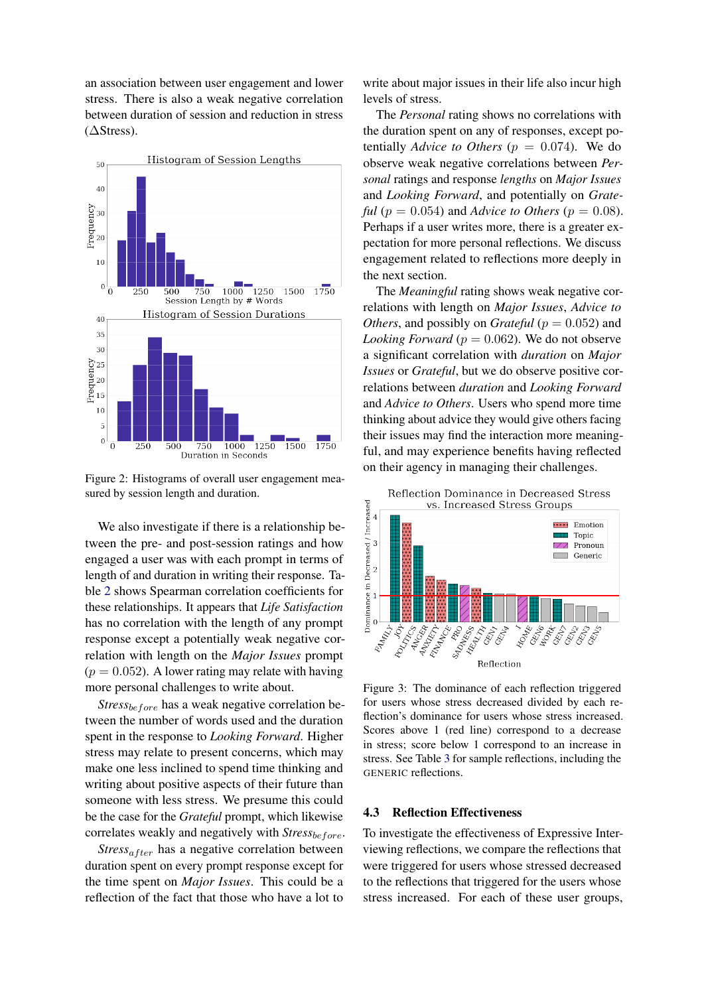an association between user engagement and lower stress. There is also a weak negative correlation between duration of session and reduction in stress  $( \Delta \text{Stress}).$ 

<span id="page-5-0"></span>

Figure 2: Histograms of overall user engagement measured by session length and duration.

We also investigate if there is a relationship between the pre- and post-session ratings and how engaged a user was with each prompt in terms of length of and duration in writing their response. Table [2](#page-6-0) shows Spearman correlation coefficients for these relationships. It appears that *Life Satisfaction* has no correlation with the length of any prompt response except a potentially weak negative correlation with length on the *Major Issues* prompt  $(p = 0.052)$ . A lower rating may relate with having more personal challenges to write about.

*Stress<sub>before</sub>* has a weak negative correlation between the number of words used and the duration spent in the response to *Looking Forward*. Higher stress may relate to present concerns, which may make one less inclined to spend time thinking and writing about positive aspects of their future than someone with less stress. We presume this could be the case for the *Grateful* prompt, which likewise correlates weakly and negatively with *Stress*before.

 $Stress_{after}$  has a negative correlation between duration spent on every prompt response except for the time spent on *Major Issues*. This could be a reflection of the fact that those who have a lot to write about major issues in their life also incur high levels of stress.

The *Personal* rating shows no correlations with the duration spent on any of responses, except potentially *Advice to Others* ( $p = 0.074$ ). We do observe weak negative correlations between *Personal* ratings and response *lengths* on *Major Issues* and *Looking Forward*, and potentially on *Grateful* ( $p = 0.054$ ) and *Advice to Others* ( $p = 0.08$ ). Perhaps if a user writes more, there is a greater expectation for more personal reflections. We discuss engagement related to reflections more deeply in the next section.

The *Meaningful* rating shows weak negative correlations with length on *Major Issues*, *Advice to Others*, and possibly on *Grateful* ( $p = 0.052$ ) and *Looking Forward* ( $p = 0.062$ ). We do not observe a significant correlation with *duration* on *Major Issues* or *Grateful*, but we do observe positive correlations between *duration* and *Looking Forward* and *Advice to Others*. Users who spend more time thinking about advice they would give others facing their issues may find the interaction more meaningful, and may experience benefits having reflected on their agency in managing their challenges.

<span id="page-5-1"></span>

Figure 3: The dominance of each reflection triggered for users whose stress decreased divided by each reflection's dominance for users whose stress increased. Scores above 1 (red line) correspond to a decrease in stress; score below 1 correspond to an increase in stress. See Table [3](#page-6-1) for sample reflections, including the GENERIC reflections.

#### 4.3 Reflection Effectiveness

To investigate the effectiveness of Expressive Interviewing reflections, we compare the reflections that were triggered for users whose stressed decreased to the reflections that triggered for the users whose stress increased. For each of these user groups,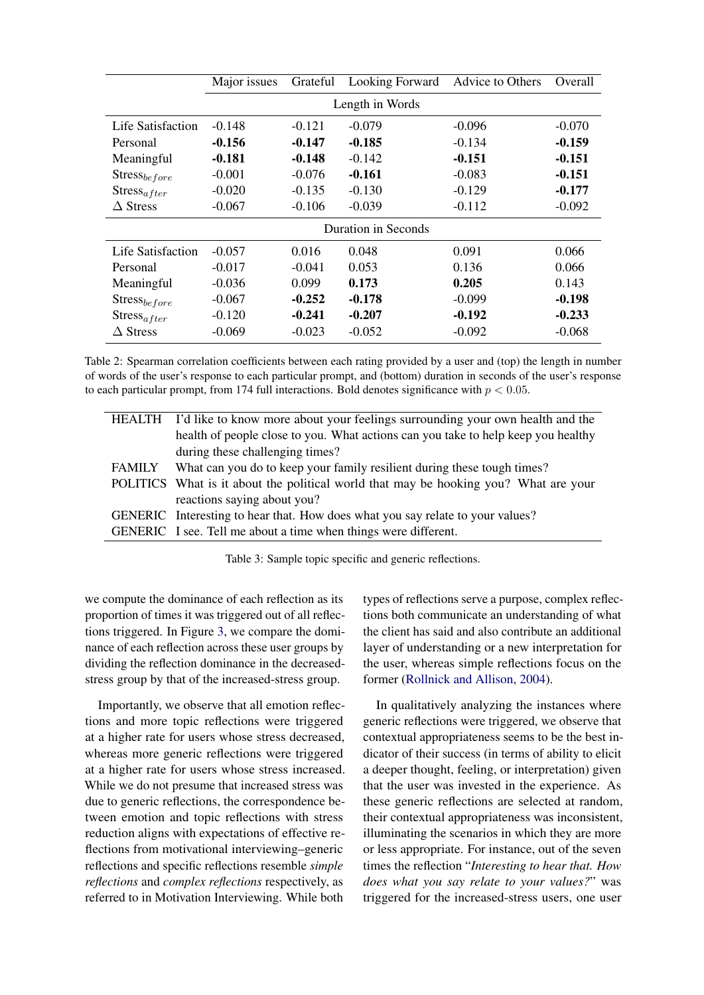<span id="page-6-0"></span>

|                     | Major issues | Grateful | Looking Forward | Advice to Others | Overall  |
|---------------------|--------------|----------|-----------------|------------------|----------|
| Length in Words     |              |          |                 |                  |          |
| Life Satisfaction   | $-0.148$     | $-0.121$ | $-0.079$        | $-0.096$         | $-0.070$ |
| Personal            | $-0.156$     | $-0.147$ | $-0.185$        | $-0.134$         | $-0.159$ |
| Meaningful          | $-0.181$     | $-0.148$ | $-0.142$        | $-0.151$         | $-0.151$ |
| $Stress_{before}$   | $-0.001$     | $-0.076$ | $-0.161$        | $-0.083$         | $-0.151$ |
| $Stress_{after}$    | $-0.020$     | $-0.135$ | $-0.130$        | $-0.129$         | $-0.177$ |
| $\Delta$ Stress     | $-0.067$     | $-0.106$ | $-0.039$        | $-0.112$         | $-0.092$ |
| Duration in Seconds |              |          |                 |                  |          |
| Life Satisfaction   | $-0.057$     | 0.016    | 0.048           | 0.091            | 0.066    |
| Personal            | $-0.017$     | $-0.041$ | 0.053           | 0.136            | 0.066    |
| Meaningful          | $-0.036$     | 0.099    | 0.173           | 0.205            | 0.143    |
| $Stress_{before}$   | $-0.067$     | $-0.252$ | $-0.178$        | $-0.099$         | $-0.198$ |
| $Stress_{after}$    | $-0.120$     | $-0.241$ | $-0.207$        | $-0.192$         | $-0.233$ |
| $\Delta$ Stress     | $-0.069$     | $-0.023$ | $-0.052$        | $-0.092$         | $-0.068$ |

Table 2: Spearman correlation coefficients between each rating provided by a user and (top) the length in number of words of the user's response to each particular prompt, and (bottom) duration in seconds of the user's response to each particular prompt, from 174 full interactions. Bold denotes significance with  $p < 0.05$ .

<span id="page-6-1"></span>

|        | HEALTH I'd like to know more about your feelings surrounding your own health and the |
|--------|--------------------------------------------------------------------------------------|
|        | health of people close to you. What actions can you take to help keep you healthy    |
|        | during these challenging times?                                                      |
| FAMILY | What can you do to keep your family resilient during these tough times?              |
|        | POLITICS What is it about the political world that may be hooking you? What are your |
|        | reactions saying about you?                                                          |
|        | GENERIC Interesting to hear that. How does what you say relate to your values?       |
|        | GENERIC I see. Tell me about a time when things were different.                      |
|        |                                                                                      |

Table 3: Sample topic specific and generic reflections.

we compute the dominance of each reflection as its proportion of times it was triggered out of all reflections triggered. In Figure [3,](#page-5-1) we compare the dominance of each reflection across these user groups by dividing the reflection dominance in the decreasedstress group by that of the increased-stress group.

Importantly, we observe that all emotion reflections and more topic reflections were triggered at a higher rate for users whose stress decreased, whereas more generic reflections were triggered at a higher rate for users whose stress increased. While we do not presume that increased stress was due to generic reflections, the correspondence between emotion and topic reflections with stress reduction aligns with expectations of effective reflections from motivational interviewing–generic reflections and specific reflections resemble *simple reflections* and *complex reflections* respectively, as referred to in Motivation Interviewing. While both

types of reflections serve a purpose, complex reflections both communicate an understanding of what the client has said and also contribute an additional layer of understanding or a new interpretation for the user, whereas simple reflections focus on the former [\(Rollnick and Allison,](#page-10-8) [2004\)](#page-10-8).

In qualitatively analyzing the instances where generic reflections were triggered, we observe that contextual appropriateness seems to be the best indicator of their success (in terms of ability to elicit a deeper thought, feeling, or interpretation) given that the user was invested in the experience. As these generic reflections are selected at random, their contextual appropriateness was inconsistent, illuminating the scenarios in which they are more or less appropriate. For instance, out of the seven times the reflection "*Interesting to hear that. How does what you say relate to your values?*" was triggered for the increased-stress users, one user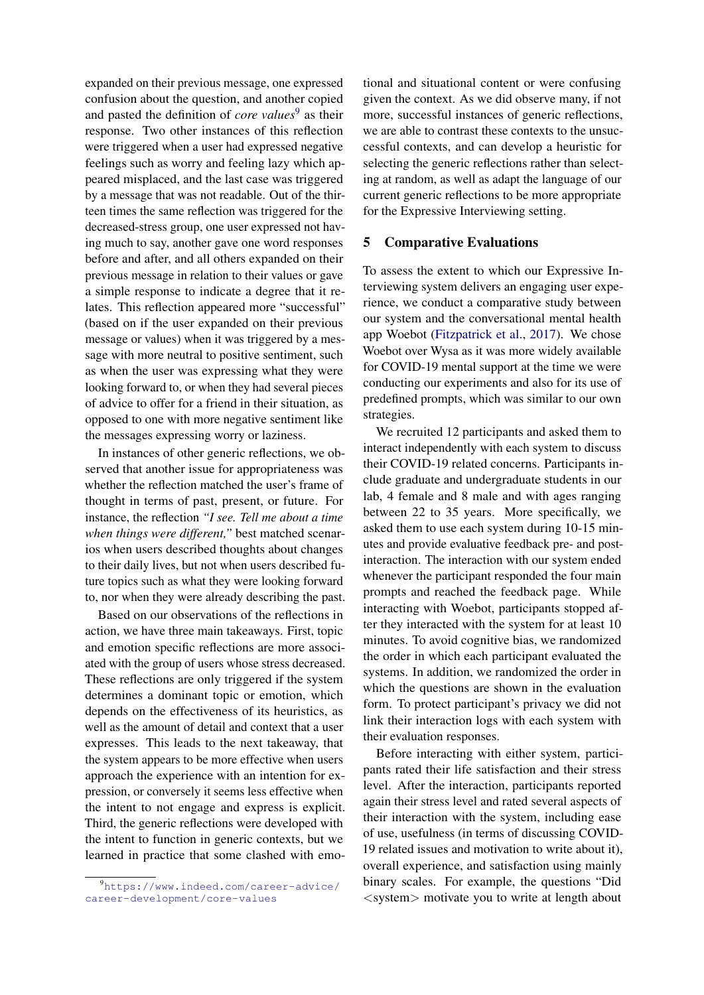expanded on their previous message, one expressed confusion about the question, and another copied and pasted the definition of *core values*<sup>[9](#page-7-0)</sup> as their response. Two other instances of this reflection were triggered when a user had expressed negative feelings such as worry and feeling lazy which appeared misplaced, and the last case was triggered by a message that was not readable. Out of the thirteen times the same reflection was triggered for the decreased-stress group, one user expressed not having much to say, another gave one word responses before and after, and all others expanded on their previous message in relation to their values or gave a simple response to indicate a degree that it relates. This reflection appeared more "successful" (based on if the user expanded on their previous message or values) when it was triggered by a message with more neutral to positive sentiment, such as when the user was expressing what they were looking forward to, or when they had several pieces of advice to offer for a friend in their situation, as opposed to one with more negative sentiment like the messages expressing worry or laziness.

In instances of other generic reflections, we observed that another issue for appropriateness was whether the reflection matched the user's frame of thought in terms of past, present, or future. For instance, the reflection *"I see. Tell me about a time when things were different,"* best matched scenarios when users described thoughts about changes to their daily lives, but not when users described future topics such as what they were looking forward to, nor when they were already describing the past.

Based on our observations of the reflections in action, we have three main takeaways. First, topic and emotion specific reflections are more associated with the group of users whose stress decreased. These reflections are only triggered if the system determines a dominant topic or emotion, which depends on the effectiveness of its heuristics, as well as the amount of detail and context that a user expresses. This leads to the next takeaway, that the system appears to be more effective when users approach the experience with an intention for expression, or conversely it seems less effective when the intent to not engage and express is explicit. Third, the generic reflections were developed with the intent to function in generic contexts, but we learned in practice that some clashed with emo-

tional and situational content or were confusing given the context. As we did observe many, if not more, successful instances of generic reflections, we are able to contrast these contexts to the unsuccessful contexts, and can develop a heuristic for selecting the generic reflections rather than selecting at random, as well as adapt the language of our current generic reflections to be more appropriate for the Expressive Interviewing setting.

#### 5 Comparative Evaluations

To assess the extent to which our Expressive Interviewing system delivers an engaging user experience, we conduct a comparative study between our system and the conversational mental health app Woebot [\(Fitzpatrick et al.,](#page-9-11) [2017\)](#page-9-11). We chose Woebot over Wysa as it was more widely available for COVID-19 mental support at the time we were conducting our experiments and also for its use of predefined prompts, which was similar to our own strategies.

We recruited 12 participants and asked them to interact independently with each system to discuss their COVID-19 related concerns. Participants include graduate and undergraduate students in our lab, 4 female and 8 male and with ages ranging between 22 to 35 years. More specifically, we asked them to use each system during 10-15 minutes and provide evaluative feedback pre- and postinteraction. The interaction with our system ended whenever the participant responded the four main prompts and reached the feedback page. While interacting with Woebot, participants stopped after they interacted with the system for at least 10 minutes. To avoid cognitive bias, we randomized the order in which each participant evaluated the systems. In addition, we randomized the order in which the questions are shown in the evaluation form. To protect participant's privacy we did not link their interaction logs with each system with their evaluation responses.

Before interacting with either system, participants rated their life satisfaction and their stress level. After the interaction, participants reported again their stress level and rated several aspects of their interaction with the system, including ease of use, usefulness (in terms of discussing COVID-19 related issues and motivation to write about it), overall experience, and satisfaction using mainly binary scales. For example, the questions "Did <system> motivate you to write at length about

<span id="page-7-0"></span><sup>9</sup>[https://www.indeed.com/career-advice/](https://www.indeed.com/career-advice/career-development/core-values) [career-development/core-values](https://www.indeed.com/career-advice/career-development/core-values)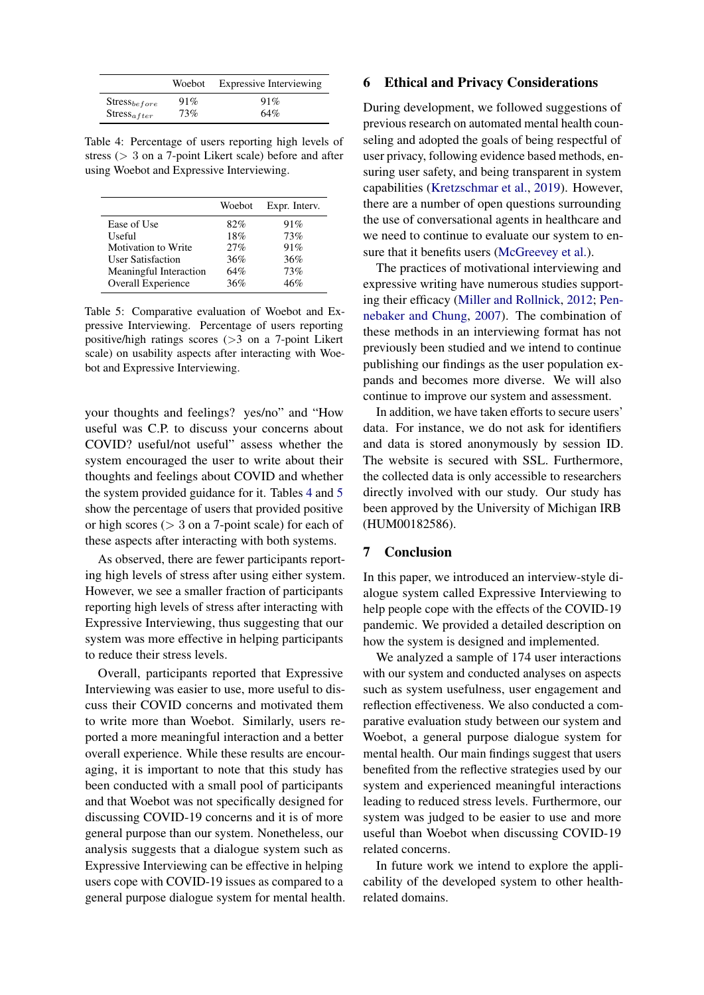<span id="page-8-0"></span>

|                   | Woebot | <b>Expressive Interviewing</b> |  |
|-------------------|--------|--------------------------------|--|
| $Stress_{before}$ | 91%    | 91%                            |  |
| $Stress_{after}$  | 73%    | 64%                            |  |

Table 4: Percentage of users reporting high levels of stress (> 3 on a 7-point Likert scale) before and after using Woebot and Expressive Interviewing.

<span id="page-8-1"></span>

|                          | Woebot | Expr. Interv. |
|--------------------------|--------|---------------|
| Ease of Use              | 82%    | 91%           |
| Useful                   | 18%    | 73%           |
| Motivation to Write      | 27%    | 91%           |
| <b>User Satisfaction</b> | 36%    | 36%           |
| Meaningful Interaction   | 64%    | 73%           |
| Overall Experience       | 36%    | 46%           |

Table 5: Comparative evaluation of Woebot and Expressive Interviewing. Percentage of users reporting positive/high ratings scores (>3 on a 7-point Likert scale) on usability aspects after interacting with Woebot and Expressive Interviewing.

your thoughts and feelings? yes/no" and "How useful was C.P. to discuss your concerns about COVID? useful/not useful" assess whether the system encouraged the user to write about their thoughts and feelings about COVID and whether the system provided guidance for it. Tables [4](#page-8-0) and [5](#page-8-1) show the percentage of users that provided positive or high scores ( $> 3$  on a 7-point scale) for each of these aspects after interacting with both systems.

As observed, there are fewer participants reporting high levels of stress after using either system. However, we see a smaller fraction of participants reporting high levels of stress after interacting with Expressive Interviewing, thus suggesting that our system was more effective in helping participants to reduce their stress levels.

Overall, participants reported that Expressive Interviewing was easier to use, more useful to discuss their COVID concerns and motivated them to write more than Woebot. Similarly, users reported a more meaningful interaction and a better overall experience. While these results are encouraging, it is important to note that this study has been conducted with a small pool of participants and that Woebot was not specifically designed for discussing COVID-19 concerns and it is of more general purpose than our system. Nonetheless, our analysis suggests that a dialogue system such as Expressive Interviewing can be effective in helping users cope with COVID-19 issues as compared to a general purpose dialogue system for mental health.

#### 6 Ethical and Privacy Considerations

During development, we followed suggestions of previous research on automated mental health counseling and adopted the goals of being respectful of user privacy, following evidence based methods, ensuring user safety, and being transparent in system capabilities [\(Kretzschmar et al.,](#page-9-15) [2019\)](#page-9-15). However, there are a number of open questions surrounding the use of conversational agents in healthcare and we need to continue to evaluate our system to en-sure that it benefits users [\(McGreevey et al.\)](#page-9-16).

The practices of motivational interviewing and expressive writing have numerous studies supporting their efficacy [\(Miller and Rollnick,](#page-9-1) [2012;](#page-9-1) [Pen](#page-9-17)[nebaker and Chung,](#page-9-17) [2007\)](#page-9-17). The combination of these methods in an interviewing format has not previously been studied and we intend to continue publishing our findings as the user population expands and becomes more diverse. We will also continue to improve our system and assessment.

In addition, we have taken efforts to secure users' data. For instance, we do not ask for identifiers and data is stored anonymously by session ID. The website is secured with SSL. Furthermore, the collected data is only accessible to researchers directly involved with our study. Our study has been approved by the University of Michigan IRB (HUM00182586).

## 7 Conclusion

In this paper, we introduced an interview-style dialogue system called Expressive Interviewing to help people cope with the effects of the COVID-19 pandemic. We provided a detailed description on how the system is designed and implemented.

We analyzed a sample of 174 user interactions with our system and conducted analyses on aspects such as system usefulness, user engagement and reflection effectiveness. We also conducted a comparative evaluation study between our system and Woebot, a general purpose dialogue system for mental health. Our main findings suggest that users benefited from the reflective strategies used by our system and experienced meaningful interactions leading to reduced stress levels. Furthermore, our system was judged to be easier to use and more useful than Woebot when discussing COVID-19 related concerns.

In future work we intend to explore the applicability of the developed system to other healthrelated domains.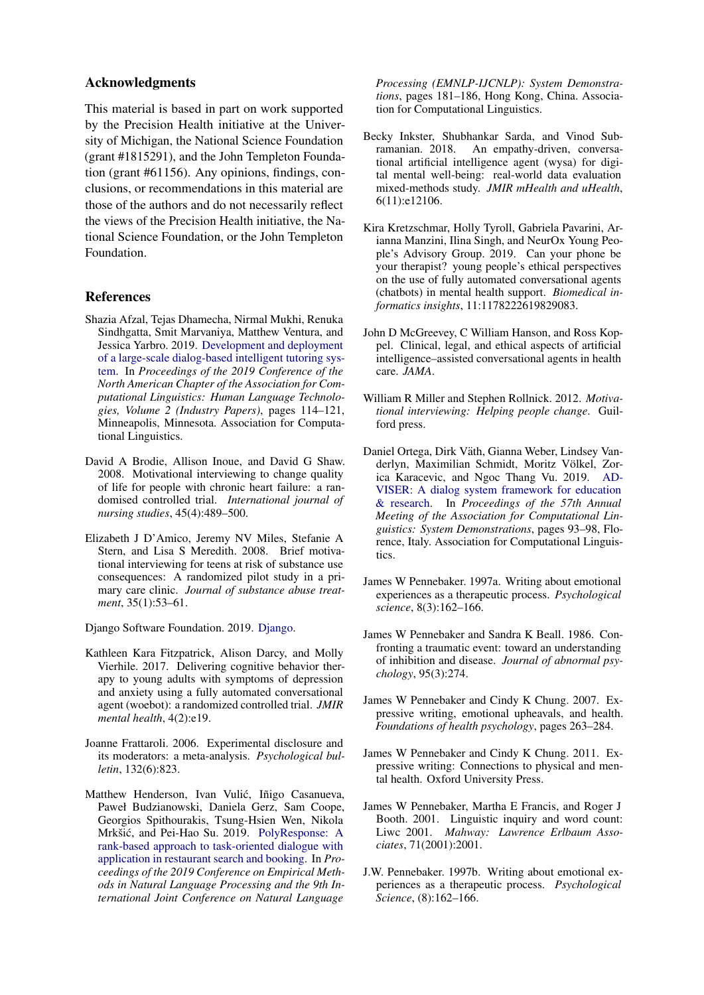## Acknowledgments

This material is based in part on work supported by the Precision Health initiative at the University of Michigan, the National Science Foundation (grant #1815291), and the John Templeton Foundation (grant #61156). Any opinions, findings, conclusions, or recommendations in this material are those of the authors and do not necessarily reflect the views of the Precision Health initiative, the National Science Foundation, or the John Templeton Foundation.

#### References

- <span id="page-9-7"></span>Shazia Afzal, Tejas Dhamecha, Nirmal Mukhi, Renuka Sindhgatta, Smit Marvaniya, Matthew Ventura, and Jessica Yarbro. 2019. [Development and deployment](https://doi.org/10.18653/v1/N19-2015) [of a large-scale dialog-based intelligent tutoring sys](https://doi.org/10.18653/v1/N19-2015)[tem.](https://doi.org/10.18653/v1/N19-2015) In *Proceedings of the 2019 Conference of the North American Chapter of the Association for Computational Linguistics: Human Language Technologies, Volume 2 (Industry Papers)*, pages 114–121, Minneapolis, Minnesota. Association for Computational Linguistics.
- <span id="page-9-5"></span>David A Brodie, Allison Inoue, and David G Shaw. 2008. Motivational interviewing to change quality of life for people with chronic heart failure: a randomised controlled trial. *International journal of nursing studies*, 45(4):489–500.
- <span id="page-9-6"></span>Elizabeth J D'Amico, Jeremy NV Miles, Stefanie A Stern, and Lisa S Meredith. 2008. Brief motivational interviewing for teens at risk of substance use consequences: A randomized pilot study in a primary care clinic. *Journal of substance abuse treatment*, 35(1):53–61.

<span id="page-9-14"></span>Django Software Foundation. 2019. [Django.](https://djangoproject.com)

- <span id="page-9-11"></span>Kathleen Kara Fitzpatrick, Alison Darcy, and Molly Vierhile. 2017. Delivering cognitive behavior therapy to young adults with symptoms of depression and anxiety using a fully automated conversational agent (woebot): a randomized controlled trial. *JMIR mental health*, 4(2):e19.
- <span id="page-9-4"></span>Joanne Frattaroli. 2006. Experimental disclosure and its moderators: a meta-analysis. *Psychological bulletin*, 132(6):823.
- <span id="page-9-8"></span>Matthew Henderson, Ivan Vulić, Iñigo Casanueva, Paweł Budzianowski, Daniela Gerz, Sam Coope, Georgios Spithourakis, Tsung-Hsien Wen, Nikola Mrkšić, and Pei-Hao Su. 2019. [PolyResponse: A](https://doi.org/10.18653/v1/D19-3031) [rank-based approach to task-oriented dialogue with](https://doi.org/10.18653/v1/D19-3031) [application in restaurant search and booking.](https://doi.org/10.18653/v1/D19-3031) In *Proceedings of the 2019 Conference on Empirical Methods in Natural Language Processing and the 9th International Joint Conference on Natural Language*

*Processing (EMNLP-IJCNLP): System Demonstrations*, pages 181–186, Hong Kong, China. Association for Computational Linguistics.

- <span id="page-9-10"></span>Becky Inkster, Shubhankar Sarda, and Vinod Subramanian. 2018. An empathy-driven, conversational artificial intelligence agent (wysa) for digital mental well-being: real-world data evaluation mixed-methods study. *JMIR mHealth and uHealth*, 6(11):e12106.
- <span id="page-9-15"></span>Kira Kretzschmar, Holly Tyroll, Gabriela Pavarini, Arianna Manzini, Ilina Singh, and NeurOx Young People's Advisory Group. 2019. Can your phone be your therapist? young people's ethical perspectives on the use of fully automated conversational agents (chatbots) in mental health support. *Biomedical informatics insights*, 11:1178222619829083.
- <span id="page-9-16"></span>John D McGreevey, C William Hanson, and Ross Koppel. Clinical, legal, and ethical aspects of artificial intelligence–assisted conversational agents in health care. *JAMA*.
- <span id="page-9-1"></span>William R Miller and Stephen Rollnick. 2012. *Motivational interviewing: Helping people change*. Guilford press.
- <span id="page-9-9"></span>Daniel Ortega, Dirk Väth, Gianna Weber, Lindsey Vanderlyn, Maximilian Schmidt, Moritz Völkel, Zorica Karacevic, and Ngoc Thang Vu. 2019. [AD-](https://doi.org/10.18653/v1/P19-3016)[VISER: A dialog system framework for education](https://doi.org/10.18653/v1/P19-3016) [& research.](https://doi.org/10.18653/v1/P19-3016) In *Proceedings of the 57th Annual Meeting of the Association for Computational Linguistics: System Demonstrations*, pages 93–98, Florence, Italy. Association for Computational Linguistics.
- <span id="page-9-13"></span>James W Pennebaker. 1997a. Writing about emotional experiences as a therapeutic process. *Psychological science*, 8(3):162–166.
- <span id="page-9-3"></span>James W Pennebaker and Sandra K Beall. 1986. Confronting a traumatic event: toward an understanding of inhibition and disease. *Journal of abnormal psychology*, 95(3):274.
- <span id="page-9-17"></span>James W Pennebaker and Cindy K Chung. 2007. Expressive writing, emotional upheavals, and health. *Foundations of health psychology*, pages 263–284.
- <span id="page-9-2"></span>James W Pennebaker and Cindy K Chung. 2011. Expressive writing: Connections to physical and mental health. Oxford University Press.
- <span id="page-9-12"></span>James W Pennebaker, Martha E Francis, and Roger J Booth. 2001. Linguistic inquiry and word count: Liwc 2001. *Mahway: Lawrence Erlbaum Associates*, 71(2001):2001.
- <span id="page-9-0"></span>J.W. Pennebaker. 1997b. Writing about emotional experiences as a therapeutic process. *Psychological Science*, (8):162–166.